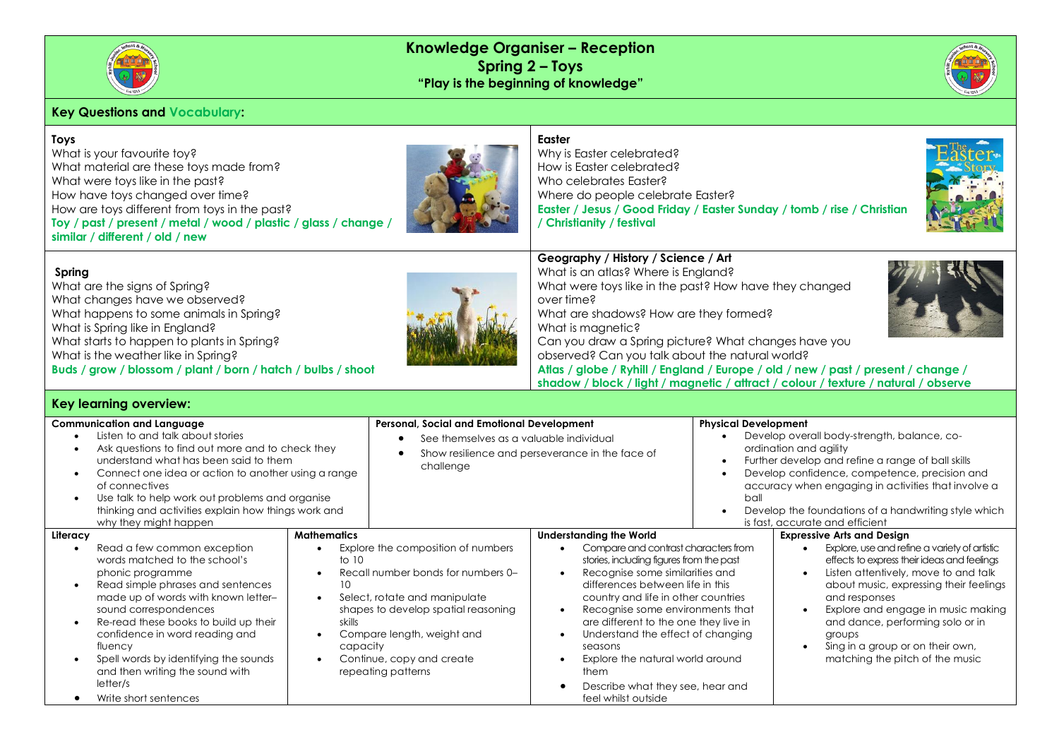

What are the signs of Spring? What changes have we observed?

What is Spring like in England?

What is the weather like in Spring?

# **Knowledge Organiser – Reception Spring 2 – Toys "Play is the beginning of knowledge"**



### **Key Questions and Vocabulary:**

# **Toys**

**Spring**

What is your favourite toy? What material are these toys made from? What were toys like in the past? How have toys changed over time? How are toys different from toys in the past? **Toy / past / present / metal / wood / plastic / glass / change / similar / different / old / new**



#### **Easter**

over time?

What is magnetic?

**Geography / History / Science / Art**  What is an atlas? Where is England?

What are shadows? How are they formed?

Why is Easter celebrated? How is Easter celebrated? Who celebrates Easter? Where do people celebrate Easter? **Easter / Jesus / Good Friday / Easter Sunday / tomb / rise / Christian / Christianity / festival** 

What were toys like in the past? How have they changed

Can you draw a Spring picture? What changes have you

**Atlas / globe / Ryhill / England / Europe / old / new / past / present / change / shadow / block / light / magnetic / attract / colour / texture / natural / observe** 

observed? Can you talk about the natural world?



# What happens to some animals in Spring? What starts to happen to plants in Spring?

**Buds / grow / blossom / plant / born / hatch / bulbs / shoot**

# **Key learning overview:**

| <b>Communication and Language</b> |                                                                                                                                                                                                                                                                                                                                                                     |                               | Personal, Social and Emotional Development                                                                                                                                                                                        |                                                                                                                                                                                                                                                                                                                                                                                                             | <b>Physical Development</b>                                                                                                                                                                                                                                                                                                                        |                                                                                                                                                                                                                                                                                                                                                            |
|-----------------------------------|---------------------------------------------------------------------------------------------------------------------------------------------------------------------------------------------------------------------------------------------------------------------------------------------------------------------------------------------------------------------|-------------------------------|-----------------------------------------------------------------------------------------------------------------------------------------------------------------------------------------------------------------------------------|-------------------------------------------------------------------------------------------------------------------------------------------------------------------------------------------------------------------------------------------------------------------------------------------------------------------------------------------------------------------------------------------------------------|----------------------------------------------------------------------------------------------------------------------------------------------------------------------------------------------------------------------------------------------------------------------------------------------------------------------------------------------------|------------------------------------------------------------------------------------------------------------------------------------------------------------------------------------------------------------------------------------------------------------------------------------------------------------------------------------------------------------|
|                                   | Listen to and talk about stories<br>Ask questions to find out more and to check they<br>understand what has been said to them<br>Connect one idea or action to another using a range<br>of connectives<br>Use talk to help work out problems and organise<br>thinking and activities explain how things work and<br>why they might happen                           |                               | See themselves as a valuable individual<br>Show resilience and perseverance in the face of<br>challenge                                                                                                                           |                                                                                                                                                                                                                                                                                                                                                                                                             | Develop overall body-strength, balance, co-<br>ordination and agility<br>Further develop and refine a range of ball skills<br>$\bullet$<br>Develop confidence, competence, precision and<br>accuracy when engaging in activities that involve a<br>ball<br>Develop the foundations of a handwriting style which<br>is fast, accurate and efficient |                                                                                                                                                                                                                                                                                                                                                            |
| Literacy                          |                                                                                                                                                                                                                                                                                                                                                                     | <b>Mathematics</b>            |                                                                                                                                                                                                                                   | <b>Understanding the World</b>                                                                                                                                                                                                                                                                                                                                                                              |                                                                                                                                                                                                                                                                                                                                                    | <b>Expressive Arts and Design</b>                                                                                                                                                                                                                                                                                                                          |
|                                   | Read a few common exception<br>words matched to the school's<br>phonic programme<br>Read simple phrases and sentences<br>made up of words with known letter-<br>sound correspondences<br>Re-read these books to build up their<br>confidence in word reading and<br>fluency<br>Spell words by identifying the sounds<br>and then writing the sound with<br>letter/s | to $10$<br>skills<br>capacity | Explore the composition of numbers<br>Recall number bonds for numbers 0-<br>Select, rotate and manipulate<br>shapes to develop spatial reasoning<br>Compare length, weight and<br>Continue, copy and create<br>repeating patterns | Compare and contrast characters from<br>stories, including figures from the past<br>Recognise some similarities and<br>differences between life in this<br>country and life in other countries<br>Recognise some environments that<br>are different to the one they live in<br>Understand the effect of changing<br>seasons<br>Explore the natural world around<br>them<br>Describe what they see, hear and |                                                                                                                                                                                                                                                                                                                                                    | Explore, use and refine a variety of artistic<br>effects to express their ideas and feelings<br>Listen attentively, move to and talk<br>about music, expressing their feelings<br>and responses<br>Explore and engage in music making<br>and dance, performing solo or in<br>groups<br>Sing in a group or on their own,<br>matching the pitch of the music |
|                                   | Write short sentences                                                                                                                                                                                                                                                                                                                                               |                               |                                                                                                                                                                                                                                   | feel whilst outside                                                                                                                                                                                                                                                                                                                                                                                         |                                                                                                                                                                                                                                                                                                                                                    |                                                                                                                                                                                                                                                                                                                                                            |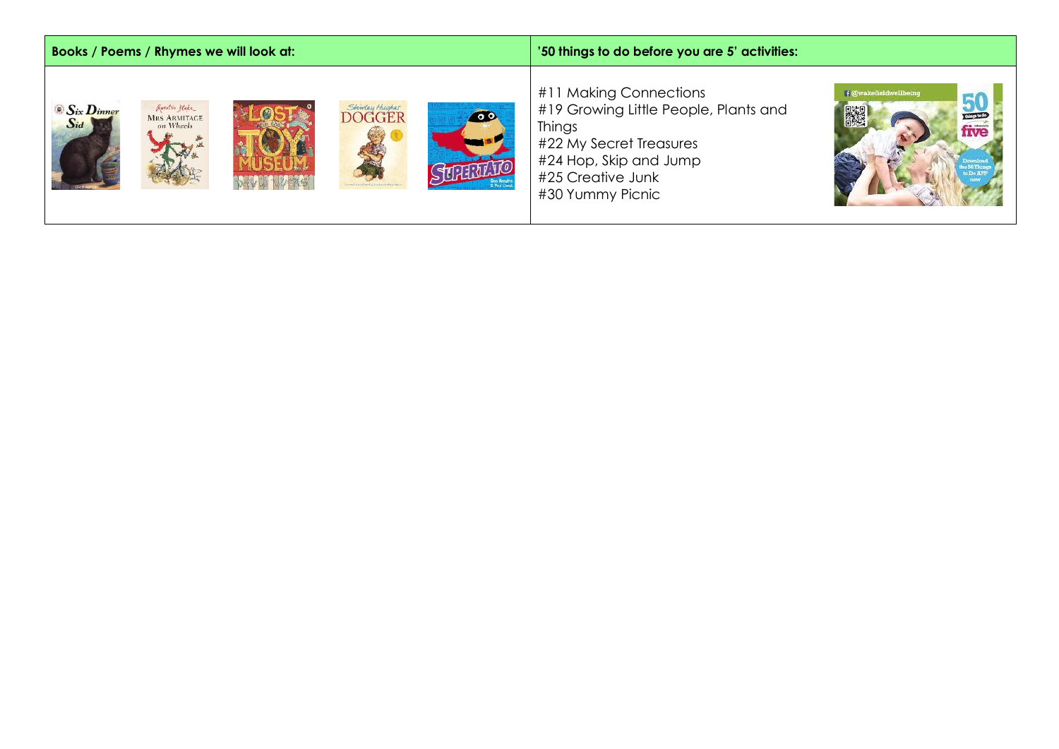| Books / Poems / Rhymes we will look at:                                                                                             | '50 things to do before you are 5' activities:                                                                                                                                                                             |  |  |
|-------------------------------------------------------------------------------------------------------------------------------------|----------------------------------------------------------------------------------------------------------------------------------------------------------------------------------------------------------------------------|--|--|
| Question Blake<br>$\bullet$ $S_{ix}$ $D_{inner}$<br>Shinday Hughes<br>DOGGER<br>400<br><b>MRS ARMITAGE</b><br>$S_{id}$<br>on Wheels | #11 Making Connections<br>f @wakefieldwellbeing<br>$rac{50}{\text{five}}$<br>#19 Growing Little People, Plants and<br>Things<br>#22 My Secret Treasures<br>#24 Hop, Skip and Jump<br>#25 Creative Junk<br>#30 Yummy Picnic |  |  |